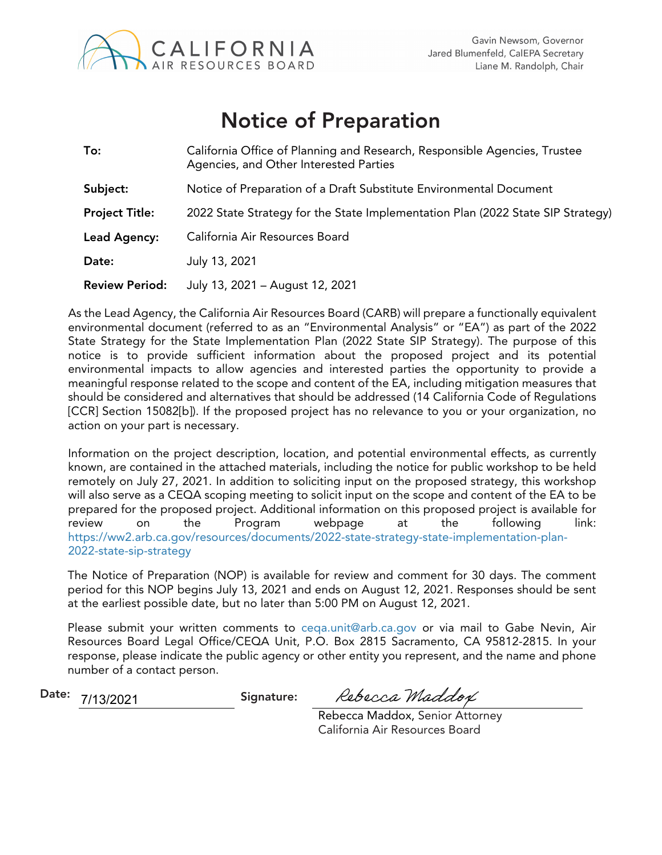

# Notice of Preparation

| To:                   | California Office of Planning and Research, Responsible Agencies, Trustee<br>Agencies, and Other Interested Parties |
|-----------------------|---------------------------------------------------------------------------------------------------------------------|
| Subject:              | Notice of Preparation of a Draft Substitute Environmental Document                                                  |
| <b>Project Title:</b> | 2022 State Strategy for the State Implementation Plan (2022 State SIP Strategy)                                     |
| Lead Agency:          | California Air Resources Board                                                                                      |
| Date:                 | July 13, 2021                                                                                                       |
| <b>Review Period:</b> | July 13, 2021 - August 12, 2021                                                                                     |

As the Lead Agency, the California Air Resources Board (CARB) will prepare a functionally equivalent environmental document (referred to as an "Environmental Analysis" or "EA") as part of the 2022 State Strategy for the State Implementation Plan (2022 State SIP Strategy). The purpose of this notice is to provide sufficient information about the proposed project and its potential environmental impacts to allow agencies and interested parties the opportunity to provide a meaningful response related to the scope and content of the EA, including mitigation measures that should be considered and alternatives that should be addressed (14 California Code of Regulations [CCR] Section 15082[b]). If the proposed project has no relevance to you or your organization, no action on your part is necessary.

Information on the project description, location, and potential environmental effects, as currently known, are contained in the attached materials, including the notice for public workshop to be held remotely on July 27, 2021. In addition to soliciting input on the proposed strategy, this workshop will also serve as a CEQA scoping meeting to solicit input on the scope and content of the EA to be prepared for the proposed project. Additional information on this proposed project is available for review on the Program webpage at the following link: https://ww2.arb.ca.gov/resources/documents/2022-state-strategy-state-implementation-plan-2022-state-sip-strategy

The Notice of Preparation (NOP) is available for review and comment for 30 days. The comment period for this NOP begins July 13, 2021 and ends on August 12, 2021. Responses should be sent at the earliest possible date, but no later than 5:00 PM on August 12, 2021.

Please submit your written comments to ceqa.unit@arb.ca.gov or via mail to Gabe Nevin, Air Resources Board Legal Office/CEQA Unit, P.O. Box 2815 Sacramento, CA 95812-2815. In your response, please indicate the public agency or other entity you represent, and the name and phone number of a contact person.

Date:  $7/13/2021$  Signature: 7/13/2021

Rebecca Maddox

Rebecca Maddox, Senior Attorney California Air Resources Board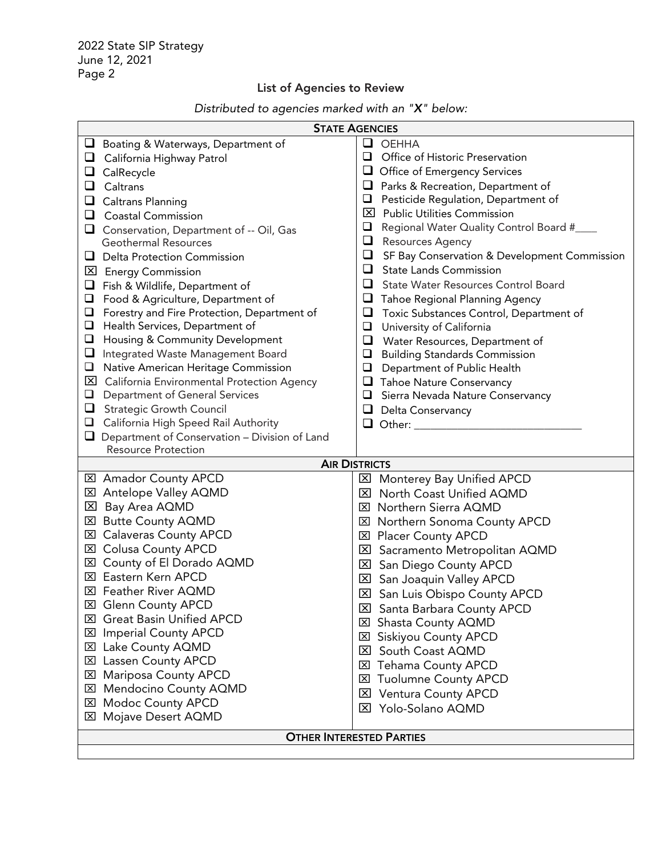### List of Agencies to Review

| Distributed to agencies marked with an " $X$ " below: |  |  |
|-------------------------------------------------------|--|--|
|                                                       |  |  |

| <b>STATE AGENCIES</b>                                 |                                                                              |  |  |  |  |
|-------------------------------------------------------|------------------------------------------------------------------------------|--|--|--|--|
| Boating & Waterways, Department of                    | $\Box$<br><b>OEHHA</b>                                                       |  |  |  |  |
| California Highway Patrol<br>⊔                        | ❏<br>Office of Historic Preservation                                         |  |  |  |  |
| CalRecycle<br>⊔                                       | $\Box$<br>Office of Emergency Services                                       |  |  |  |  |
| $\Box$<br>Caltrans                                    | Parks & Recreation, Department of<br>⊔                                       |  |  |  |  |
| <b>Caltrans Planning</b>                              | Pesticide Regulation, Department of<br>❏                                     |  |  |  |  |
| <b>Coastal Commission</b><br>⊔                        | ⊠<br><b>Public Utilities Commission</b>                                      |  |  |  |  |
| Conservation, Department of -- Oil, Gas               | $\Box$<br>Regional Water Quality Control Board #___                          |  |  |  |  |
| <b>Geothermal Resources</b>                           | $\Box$<br>Resources Agency                                                   |  |  |  |  |
| <b>Delta Protection Commission</b><br>u               | SF Bay Conservation & Development Commission<br>$\Box$                       |  |  |  |  |
| 区 Energy Commission                                   | <b>State Lands Commission</b><br>⊔                                           |  |  |  |  |
| Fish & Wildlife, Department of                        | ❏<br>State Water Resources Control Board                                     |  |  |  |  |
| Food & Agriculture, Department of<br>$\Box$           | Tahoe Regional Planning Agency<br>⊔                                          |  |  |  |  |
| $\Box$<br>Forestry and Fire Protection, Department of | $\Box$<br>Toxic Substances Control, Department of                            |  |  |  |  |
| Health Services, Department of<br>❏                   | $\Box$<br>University of California                                           |  |  |  |  |
| <b>Housing &amp; Community Development</b><br>❏       | $\Box$<br>Water Resources, Department of                                     |  |  |  |  |
| Integrated Waste Management Board<br>$\sqcup$         | $\Box$<br><b>Building Standards Commission</b>                               |  |  |  |  |
| Native American Heritage Commission<br>❏              | $\Box$<br>Department of Public Health                                        |  |  |  |  |
| <b>X</b> California Environmental Protection Agency   | <b>T</b> Tahoe Nature Conservancy                                            |  |  |  |  |
| Department of General Services<br>❏                   | $\Box$<br>Sierra Nevada Nature Conservancy                                   |  |  |  |  |
| $\Box$<br><b>Strategic Growth Council</b>             | Delta Conservancy                                                            |  |  |  |  |
| California High Speed Rail Authority<br>❏             | $\Box$ Other:                                                                |  |  |  |  |
| Department of Conservation - Division of Land<br>⊔    |                                                                              |  |  |  |  |
| <b>Resource Protection</b>                            | <b>AIR DISTRICTS</b>                                                         |  |  |  |  |
| <b>⊠</b> Amador County APCD                           |                                                                              |  |  |  |  |
| <b>⊠</b> Antelope Valley AQMD                         | <b>⊠</b> Monterey Bay Unified APCD<br><b>⊠</b> North Coast Unified AQMD      |  |  |  |  |
| 区 Bay Area AQMD                                       | <b>⊠</b> Northern Sierra AQMD                                                |  |  |  |  |
| ⊠ Butte County AQMD                                   | ⊠ Northern Sonoma County APCD                                                |  |  |  |  |
| <b>⊠</b> Calaveras County APCD                        | <b>⊠</b> Placer County APCD                                                  |  |  |  |  |
| <b>EXI</b> Colusa County APCD                         | <b>EX</b> Sacramento Metropolitan AQMD                                       |  |  |  |  |
| ⊠ County of El Dorado AQMD                            |                                                                              |  |  |  |  |
| <b>区 Eastern Kern APCD</b>                            | <b>⊠</b> San Diego County APCD                                               |  |  |  |  |
| <b>X Feather River AQMD</b>                           | <b>⊠</b> San Joaquin Valley APCD                                             |  |  |  |  |
| <b>区 Glenn County APCD</b>                            | <b>⊠</b> San Luis Obispo County APCD                                         |  |  |  |  |
| <b>⊠</b> Great Basin Unified APCD                     | <b>EXI</b> Santa Barbara County APCD                                         |  |  |  |  |
| <b>⊠</b> Imperial County APCD                         | <b>⊠ Shasta County AQMD</b>                                                  |  |  |  |  |
| <b>⊠</b> Lake County AQMD                             | <b>⊠ Siskiyou County APCD</b><br>South Coast AQMD<br>$\mathbf{\overline{X}}$ |  |  |  |  |
| <b>⊠</b> Lassen County APCD                           | <b>Tehama County APCD</b>                                                    |  |  |  |  |
| <b>⊠ Mariposa County APCD</b>                         | ⊠                                                                            |  |  |  |  |
| ⊠ Mendocino County AQMD                               | <b>Tuolumne County APCD</b><br>⊠                                             |  |  |  |  |
| <b>⊠ Modoc County APCD</b>                            | <b>Ventura County APCD</b><br>⊠<br>Yolo-Solano AQMD                          |  |  |  |  |
| <b>⊠</b> Mojave Desert AQMD                           | $\boxtimes$                                                                  |  |  |  |  |
| <b>OTHER INTERESTED PARTIES</b>                       |                                                                              |  |  |  |  |
|                                                       |                                                                              |  |  |  |  |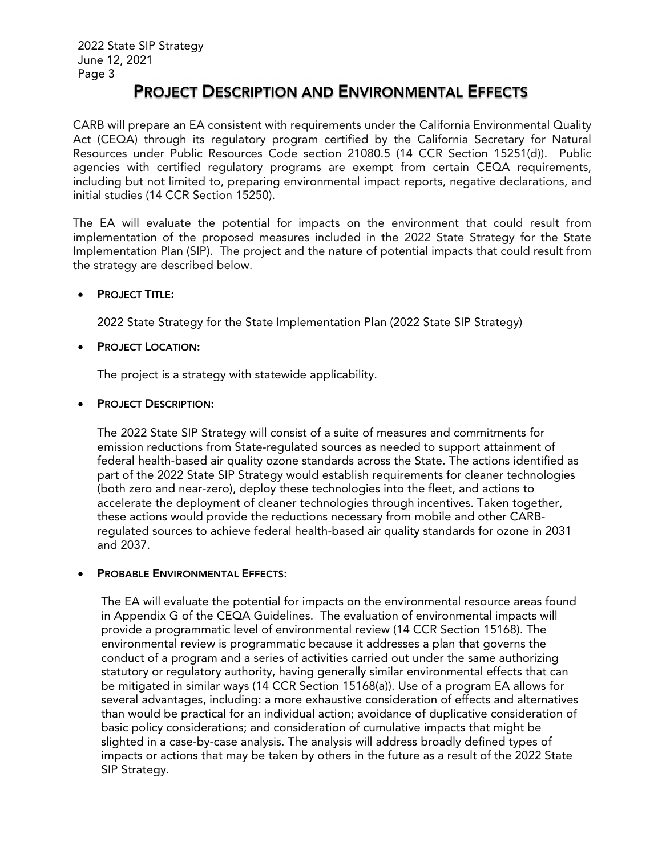### PROJECT DESCRIPTION AND ENVIRONMENTAL EFFECTS

CARB will prepare an EA consistent with requirements under the California Environmental Quality Act (CEQA) through its regulatory program certified by the California Secretary for Natural Resources under Public Resources Code section 21080.5 (14 CCR Section 15251(d)). Public agencies with certified regulatory programs are exempt from certain CEQA requirements, including but not limited to, preparing environmental impact reports, negative declarations, and initial studies (14 CCR Section 15250).

The EA will evaluate the potential for impacts on the environment that could result from implementation of the proposed measures included in the 2022 State Strategy for the State Implementation Plan (SIP). The project and the nature of potential impacts that could result from the strategy are described below.

#### PROJECT TITLE:

2022 State Strategy for the State Implementation Plan (2022 State SIP Strategy)

#### PROJECT LOCATION:

The project is a strategy with statewide applicability.

#### PROJECT DESCRIPTION:

The 2022 State SIP Strategy will consist of a suite of measures and commitments for emission reductions from State-regulated sources as needed to support attainment of federal health-based air quality ozone standards across the State. The actions identified as part of the 2022 State SIP Strategy would establish requirements for cleaner technologies (both zero and near-zero), deploy these technologies into the fleet, and actions to accelerate the deployment of cleaner technologies through incentives. Taken together, these actions would provide the reductions necessary from mobile and other CARBregulated sources to achieve federal health-based air quality standards for ozone in 2031 and 2037.

#### PROBABLE ENVIRONMENTAL EFFECTS:

The EA will evaluate the potential for impacts on the environmental resource areas found in Appendix G of the CEQA Guidelines. The evaluation of environmental impacts will provide a programmatic level of environmental review (14 CCR Section 15168). The environmental review is programmatic because it addresses a plan that governs the conduct of a program and a series of activities carried out under the same authorizing statutory or regulatory authority, having generally similar environmental effects that can be mitigated in similar ways (14 CCR Section 15168(a)). Use of a program EA allows for several advantages, including: a more exhaustive consideration of effects and alternatives than would be practical for an individual action; avoidance of duplicative consideration of basic policy considerations; and consideration of cumulative impacts that might be slighted in a case-by-case analysis. The analysis will address broadly defined types of impacts or actions that may be taken by others in the future as a result of the 2022 State SIP Strategy.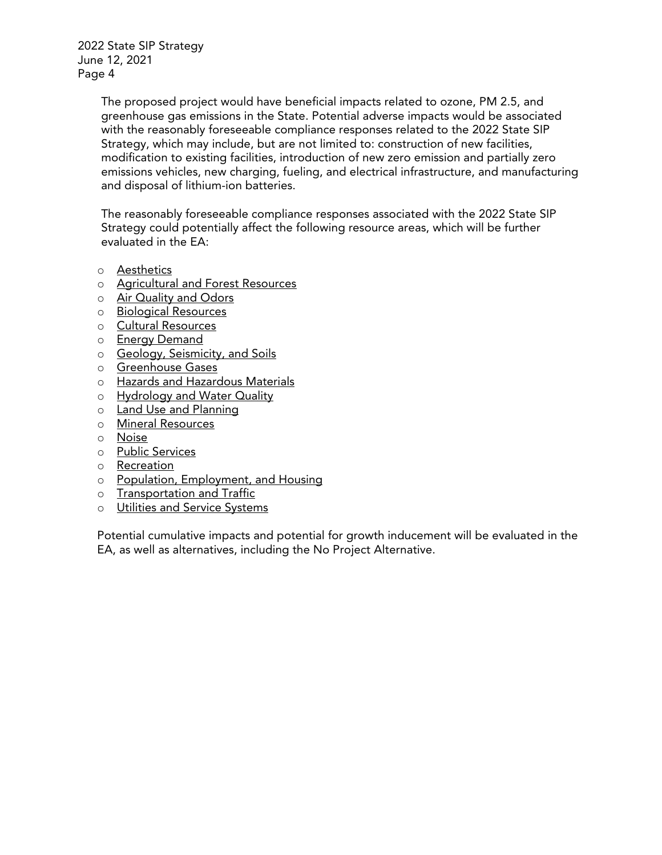2022 State SIP Strategy June 12, 2021 Page 4

> The proposed project would have beneficial impacts related to ozone, PM 2.5, and greenhouse gas emissions in the State. Potential adverse impacts would be associated with the reasonably foreseeable compliance responses related to the 2022 State SIP Strategy, which may include, but are not limited to: construction of new facilities, modification to existing facilities, introduction of new zero emission and partially zero emissions vehicles, new charging, fueling, and electrical infrastructure, and manufacturing and disposal of lithium-ion batteries.

The reasonably foreseeable compliance responses associated with the 2022 State SIP Strategy could potentially affect the following resource areas, which will be further evaluated in the EA:

- o Aesthetics
- o Agricultural and Forest Resources
- o Air Quality and Odors
- o Biological Resources
- o Cultural Resources
- o Energy Demand
- o Geology, Seismicity, and Soils
- o Greenhouse Gases
- o Hazards and Hazardous Materials
- o Hydrology and Water Quality
- o Land Use and Planning
- o Mineral Resources
- o Noise
- o Public Services
- o Recreation
- o Population, Employment, and Housing
- o Transportation and Traffic
- o Utilities and Service Systems

Potential cumulative impacts and potential for growth inducement will be evaluated in the EA, as well as alternatives, including the No Project Alternative.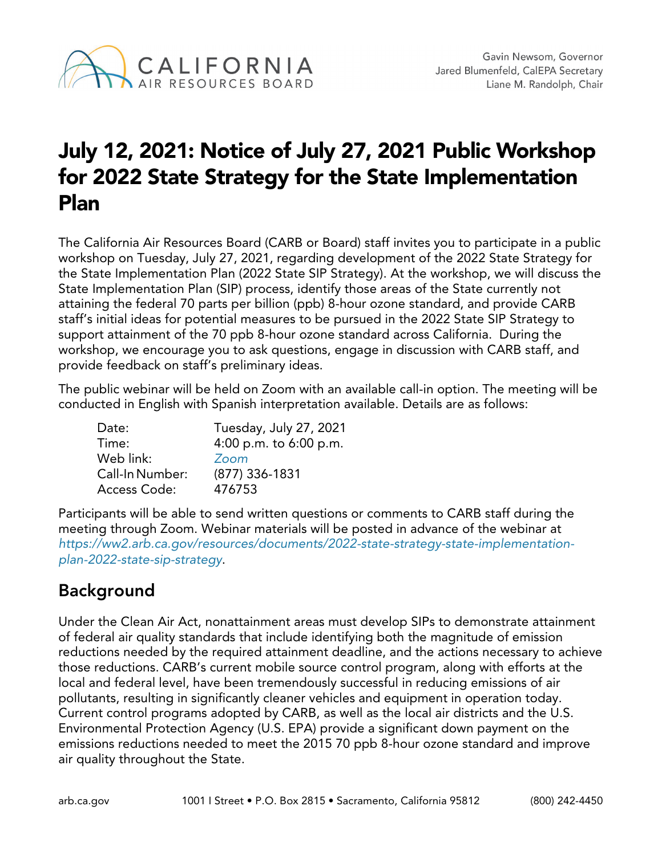

# July 12, 2021: Notice of July 27, 2021 Public Workshop for 2022 State Strategy for the State Implementation Plan

The California Air Resources Board (CARB or Board) staff invites you to participate in a public workshop on Tuesday, July 27, 2021, regarding development of the 2022 State Strategy for the State Implementation Plan (2022 State SIP Strategy). At the workshop, we will discuss the State Implementation Plan (SIP) process, identify those areas of the State currently not attaining the federal 70 parts per billion (ppb) 8-hour ozone standard, and provide CARB staff's initial ideas for potential measures to be pursued in the 2022 State SIP Strategy to support attainment of the 70 ppb 8-hour ozone standard across California. During the workshop, we encourage you to ask questions, engage in discussion with CARB staff, and provide feedback on staff's preliminary ideas.

The public webinar will be held on Zoom with an available call-in option. The meeting will be conducted in English with Spanish interpretation available. Details are as follows:

| Tuesday, July 27, 2021 |
|------------------------|
| 4:00 p.m. to 6:00 p.m. |
| Zoom                   |
| (877) 336-1831         |
| 476753                 |
|                        |

Participants will be able to send written questions or comments to CARB staff during the meeting through Zoom. Webinar materials will be posted in advance of the webinar at *[https://ww2.arb.ca.gov/resources/documents/2022-state-strategy-state-implementation](https://ww2.arb.ca.gov/resources/documents/2022-state-strategy-state-implementation-plan-2022-state-sip-strategy)[plan-2022-state-sip-strategy](https://ww2.arb.ca.gov/resources/documents/2022-state-strategy-state-implementation-plan-2022-state-sip-strategy)*.

## Background

Under the Clean Air Act, nonattainment areas must develop SIPs to demonstrate attainment of federal air quality standards that include identifying both the magnitude of emission reductions needed by the required attainment deadline, and the actions necessary to achieve those reductions. CARB's current mobile source control program, along with efforts at the local and federal level, have been tremendously successful in reducing emissions of air pollutants, resulting in significantly cleaner vehicles and equipment in operation today. Current control programs adopted by CARB, as well as the local air districts and the U.S. Environmental Protection Agency (U.S. EPA) provide a significant down payment on the emissions reductions needed to meet the 2015 70 ppb 8-hour ozone standard and improve air quality throughout the State.